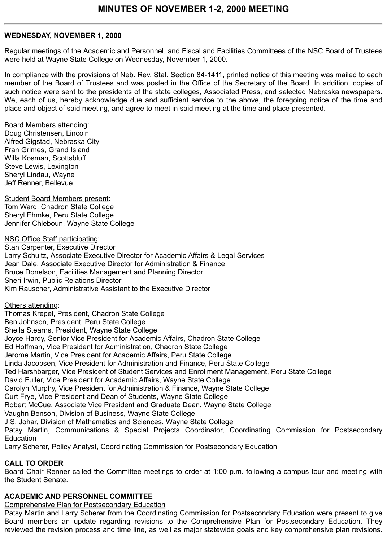### **WEDNESDAY, NOVEMBER 1, 2000**

Regular meetings of the Academic and Personnel, and Fiscal and Facilities Committees of the NSC Board of Trustees were held at Wayne State College on Wednesday, November 1, 2000.

In compliance with the provisions of Neb. Rev. Stat. Section 84-1411, printed notice of this meeting was mailed to each member of the Board of Trustees and was posted in the Office of the Secretary of the Board. In addition, copies of such notice were sent to the presidents of the state colleges, Associated Press, and selected Nebraska newspapers. We, each of us, hereby acknowledge due and sufficient service to the above, the foregoing notice of the time and place and object of said meeting, and agree to meet in said meeting at the time and place presented.

Board Members attending: Doug Christensen, Lincoln Alfred Gigstad, Nebraska City Fran Grimes, Grand Island Willa Kosman, Scottsbluff Steve Lewis, Lexington Sheryl Lindau, Wayne Jeff Renner, Bellevue

Student Board Members present: Tom Ward, Chadron State College Sheryl Ehmke, Peru State College Jennifer Chleboun, Wayne State College

NSC Office Staff participating: Stan Carpenter, Executive Director Larry Schultz, Associate Executive Director for Academic Affairs & Legal Services Jean Dale, Associate Executive Director for Administration & Finance Bruce Donelson, Facilities Management and Planning Director Sheri Irwin, Public Relations Director Kim Rauscher, Administrative Assistant to the Executive Director

Others attending:

Thomas Krepel, President, Chadron State College

Ben Johnson, President, Peru State College

Sheila Stearns, President, Wayne State College

Joyce Hardy, Senior Vice President for Academic Affairs, Chadron State College

Ed Hoffman, Vice President for Administration, Chadron State College

Jerome Martin, Vice President for Academic Affairs, Peru State College

Linda Jacobsen, Vice President for Administration and Finance, Peru State College

Ted Harshbarger, Vice President of Student Services and Enrollment Management, Peru State College

David Fuller, Vice President for Academic Affairs, Wayne State College

Carolyn Murphy, Vice President for Administration & Finance, Wayne State College

Curt Frye, Vice President and Dean of Students, Wayne State College

Robert McCue, Associate Vice President and Graduate Dean, Wayne State College

Vaughn Benson, Division of Business, Wayne State College

J.S. Johar, Division of Mathematics and Sciences, Wayne State College

Patsy Martin, Communications & Special Projects Coordinator, Coordinating Commission for Postsecondary Education

Larry Scherer, Policy Analyst, Coordinating Commission for Postsecondary Education

# **CALL TO ORDER**

Board Chair Renner called the Committee meetings to order at 1:00 p.m. following a campus tour and meeting with the Student Senate.

# **ACADEMIC AND PERSONNEL COMMITTEE**

Comprehensive Plan for Postsecondary Education

Patsy Martin and Larry Scherer from the Coordinating Commission for Postsecondary Education were present to give Board members an update regarding revisions to the Comprehensive Plan for Postsecondary Education. They reviewed the revision process and time line, as well as major statewide goals and key comprehensive plan revisions.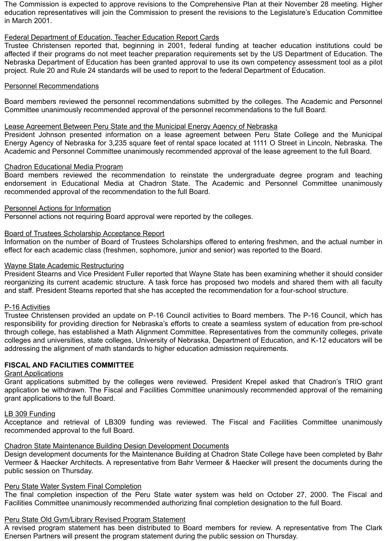The Commission is expected to approve revisions to the Comprehensive Plan at their November 28 meeting. Higher education representatives will join the Commission to present the revisions to the Legislature's Education Committee in March 2001.

# Federal Department of Education, Teacher Education Report Cards

Trustee Christensen reported that, beginning in 2001, federal funding at teacher education institutions could be affected if their programs do not meet teacher preparation requirements set by the US Department of Education. The Nebraska Department of Education has been granted approval to use its own competency assessment tool as a pilot project. Rule 20 and Rule 24 standards will be used to report to the federal Department of Education.

# Personnel Recommendations

Board members reviewed the personnel recommendations submitted by the colleges. The Academic and Personnel Committee unanimously recommended approval of the personnel recommendations to the full Board.

#### Lease Agreement Between Peru State and the Municipal Energy Agency of Nebraska

President Johnson presented information on a lease agreement between Peru State College and the Municipal Energy Agency of Nebraska for 3,235 square feet of rental space located at 1111 O Street in Lincoln, Nebraska. The Academic and Personnel Committee unanimously recommended approval of the lease agreement to the full Board.

#### Chadron Educational Media Program

Board members reviewed the recommendation to reinstate the undergraduate degree program and teaching endorsement in Educational Media at Chadron State. The Academic and Personnel Committee unanimously recommended approval of the recommendation to the full Board.

#### Personnel Actions for Information

Personnel actions not requiring Board approval were reported by the colleges.

#### Board of Trustees Scholarship Acceptance Report

Information on the number of Board of Trustees Scholarships offered to entering freshmen, and the actual number in effect for each academic class (freshmen, sophomore, junior and senior) was reported to the Board.

#### Wayne State Academic Restructuring

President Stearns and Vice President Fuller reported that Wayne State has been examining whether it should consider reorganizing its current academic structure. A task force has proposed two models and shared them with all faculty and staff. President Stearns reported that she has accepted the recommendation for a four-school structure.

#### P-16 Activities

Trustee Christensen provided an update on P-16 Council activities to Board members. The P-16 Council, which has responsibility for providing direction for Nebraska's efforts to create a seamless system of education from pre-school through college, has established a Math Alignment Committee. Representatives from the community colleges, private colleges and universities, state colleges, University of Nebraska, Department of Education, and K-12 educators will be addressing the alignment of math standards to higher education admission requirements.

# **FISCAL AND FACILITIES COMMITTEE**

#### **Grant Applications**

Grant applications submitted by the colleges were reviewed. President Krepel asked that Chadron's TRIO grant application be withdrawn. The Fiscal and Facilities Committee unanimously recommended approval of the remaining grant applications to the full Board.

#### LB 309 Funding

Acceptance and retrieval of LB309 funding was reviewed. The Fiscal and Facilities Committee unanimously recommended approval to the full Board.

#### Chadron State Maintenance Building Design Development Documents

Design development documents for the Maintenance Building at Chadron State College have been completed by Bahr Vermeer & Haecker Architects. A representative from Bahr Vermeer & Haecker will present the documents during the public session on Thursday.

#### **Peru State Water System Final Completion**

The final completion inspection of the Peru State water system was held on October 27, 2000. The Fiscal and Facilities Committee unanimously recommended authorizing final completion designation to the full Board.

# Peru State Old Gym/Library Revised Program Statement

A revised program statement has been distributed to Board members for review. A representative from The Clark Enersen Partners will present the program statement during the public session on Thursday.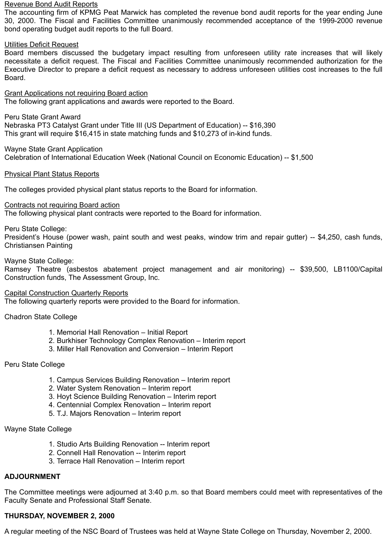#### Revenue Bond Audit Reports

The accounting firm of KPMG Peat Marwick has completed the revenue bond audit reports for the year ending June 30, 2000. The Fiscal and Facilities Committee unanimously recommended acceptance of the 1999-2000 revenue bond operating budget audit reports to the full Board.

### Utilities Deficit Request

Board members discussed the budgetary impact resulting from unforeseen utility rate increases that will likely necessitate a deficit request. The Fiscal and Facilities Committee unanimously recommended authorization for the Executive Director to prepare a deficit request as necessary to address unforeseen utilities cost increases to the full Board.

Grant Applications not requiring Board action The following grant applications and awards were reported to the Board.

Peru State Grant Award Nebraska PT3 Catalyst Grant under Title III (US Department of Education) -- \$16,390 This grant will require \$16,415 in state matching funds and \$10,273 of in-kind funds.

Wayne State Grant Application Celebration of International Education Week (National Council on Economic Education) -- \$1,500

# Physical Plant Status Reports

The colleges provided physical plant status reports to the Board for information.

#### Contracts not requiring Board action

The following physical plant contracts were reported to the Board for information.

# Peru State College:

President's House (power wash, paint south and west peaks, window trim and repair gutter) -- \$4,250, cash funds, Christiansen Painting

#### Wayne State College:

Ramsey Theatre (asbestos abatement project management and air monitoring) -- \$39,500, LB1100/Capital Construction funds, The Assessment Group, Inc.

#### Capital Construction Quarterly Reports

The following quarterly reports were provided to the Board for information.

Chadron State College

- 1. Memorial Hall Renovation Initial Report
- 2. Burkhiser Technology Complex Renovation Interim report
- 3. Miller Hall Renovation and Conversion Interim Report

# Peru State College

- 1. Campus Services Building Renovation Interim report
- 2. Water System Renovation Interim report
- 3. Hoyt Science Building Renovation Interim report
- 4. Centennial Complex Renovation Interim report
- 5. T.J. Majors Renovation Interim report

# Wayne State College

- 1. Studio Arts Building Renovation -- Interim report
- 2. Connell Hall Renovation -- Interim report
- 3. Terrace Hall Renovation Interim report

# **ADJOURNMENT**

The Committee meetings were adjourned at 3:40 p.m. so that Board members could meet with representatives of the Faculty Senate and Professional Staff Senate.

# **THURSDAY, NOVEMBER 2, 2000**

A regular meeting of the NSC Board of Trustees was held at Wayne State College on Thursday, November 2, 2000.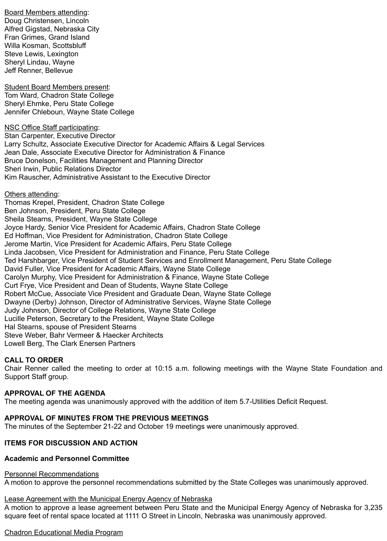Board Members attending: Doug Christensen, Lincoln Alfred Gigstad, Nebraska City Fran Grimes, Grand Island Willa Kosman, Scottsbluff Steve Lewis, Lexington Sheryl Lindau, Wayne Jeff Renner, Bellevue

Student Board Members present: Tom Ward, Chadron State College Sheryl Ehmke, Peru State College Jennifer Chleboun, Wayne State College

NSC Office Staff participating: Stan Carpenter, Executive Director Larry Schultz, Associate Executive Director for Academic Affairs & Legal Services Jean Dale, Associate Executive Director for Administration & Finance Bruce Donelson, Facilities Management and Planning Director Sheri Irwin, Public Relations Director Kim Rauscher, Administrative Assistant to the Executive Director

Others attending:

Thomas Krepel, President, Chadron State College Ben Johnson, President, Peru State College Sheila Stearns, President, Wayne State College Joyce Hardy, Senior Vice President for Academic Affairs, Chadron State College Ed Hoffman, Vice President for Administration, Chadron State College Jerome Martin, Vice President for Academic Affairs, Peru State College Linda Jacobsen, Vice President for Administration and Finance, Peru State College Ted Harshbarger, Vice President of Student Services and Enrollment Management, Peru State College David Fuller, Vice President for Academic Affairs, Wayne State College Carolyn Murphy, Vice President for Administration & Finance, Wayne State College Curt Frye, Vice President and Dean of Students, Wayne State College Robert McCue, Associate Vice President and Graduate Dean, Wayne State College Dwayne (Derby) Johnson, Director of Administrative Services, Wayne State College Judy Johnson, Director of College Relations, Wayne State College Lucille Peterson, Secretary to the President, Wayne State College Hal Stearns, spouse of President Stearns Steve Weber, Bahr Vermeer & Haecker Architects Lowell Berg, The Clark Enersen Partners

# **CALL TO ORDER**

Chair Renner called the meeting to order at 10:15 a.m. following meetings with the Wayne State Foundation and Support Staff group.

# **APPROVAL OF THE AGENDA**

The meeting agenda was unanimously approved with the addition of item 5.7-Utilities Deficit Request.

# **APPROVAL OF MINUTES FROM THE PREVIOUS MEETINGS**

The minutes of the September 21-22 and October 19 meetings were unanimously approved.

# **ITEMS FOR DISCUSSION AND ACTION**

# **Academic and Personnel Committee**

#### Personnel Recommendations

A motion to approve the personnel recommendations submitted by the State Colleges was unanimously approved.

# Lease Agreement with the Municipal Energy Agency of Nebraska

A motion to approve a lease agreement between Peru State and the Municipal Energy Agency of Nebraska for 3,235 square feet of rental space located at 1111 O Street in Lincoln, Nebraska was unanimously approved.

# Chadron Educational Media Program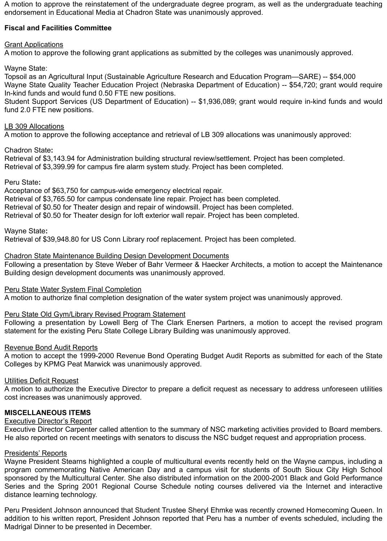A motion to approve the reinstatement of the undergraduate degree program, as well as the undergraduate teaching endorsement in Educational Media at Chadron State was unanimously approved.

# **Fiscal and Facilities Committee**

# Grant Applications

A motion to approve the following grant applications as submitted by the colleges was unanimously approved.

Wayne State:

Topsoil as an Agricultural Input (Sustainable Agriculture Research and Education Program—SARE) -- \$54,000 Wayne State Quality Teacher Education Project (Nebraska Department of Education) -- \$54,720; grant would require In-kind funds and would fund 0.50 FTE new positions.

Student Support Services (US Department of Education) -- \$1,936,089; grant would require in-kind funds and would fund 2.0 FTE new positions.

### LB 309 Allocations

A motion to approve the following acceptance and retrieval of LB 309 allocations was unanimously approved:

#### Chadron State**:**

Retrieval of \$3,143.94 for Administration building structural review/settlement. Project has been completed. Retrieval of \$3,399.99 for campus fire alarm system study. Project has been completed.

#### Peru State**:**

Acceptance of \$63,750 for campus-wide emergency electrical repair. Retrieval of \$3,765.50 for campus condensate line repair. Project has been completed. Retrieval of \$0.50 for Theater design and repair of windowsill. Project has been completed.

Retrieval of \$0.50 for Theater design for loft exterior wall repair. Project has been completed.

Wayne State**:**

Retrieval of \$39,948.80 for US Conn Library roof replacement. Project has been completed.

#### Chadron State Maintenance Building Design Development Documents

Following a presentation by Steve Weber of Bahr Vermeer & Haecker Architects, a motion to accept the Maintenance Building design development documents was unanimously approved.

# Peru State Water System Final Completion

A motion to authorize final completion designation of the water system project was unanimously approved.

# Peru State Old Gym/Library Revised Program Statement

Following a presentation by Lowell Berg of The Clark Enersen Partners, a motion to accept the revised program statement for the existing Peru State College Library Building was unanimously approved.

#### Revenue Bond Audit Reports

A motion to accept the 1999-2000 Revenue Bond Operating Budget Audit Reports as submitted for each of the State Colleges by KPMG Peat Marwick was unanimously approved.

# Utilities Deficit Request

A motion to authorize the Executive Director to prepare a deficit request as necessary to address unforeseen utilities cost increases was unanimously approved.

# **MISCELLANEOUS ITEMS**

# Executive Director's Report

Executive Director Carpenter called attention to the summary of NSC marketing activities provided to Board members. He also reported on recent meetings with senators to discuss the NSC budget request and appropriation process.

# Presidents' Reports

Wayne President Stearns highlighted a couple of multicultural events recently held on the Wayne campus, including a program commemorating Native American Day and a campus visit for students of South Sioux City High School sponsored by the Multicultural Center. She also distributed information on the 2000-2001 Black and Gold Performance Series and the Spring 2001 Regional Course Schedule noting courses delivered via the Internet and interactive distance learning technology.

Peru President Johnson announced that Student Trustee Sheryl Ehmke was recently crowned Homecoming Queen. In addition to his written report, President Johnson reported that Peru has a number of events scheduled, including the Madrigal Dinner to be presented in December.